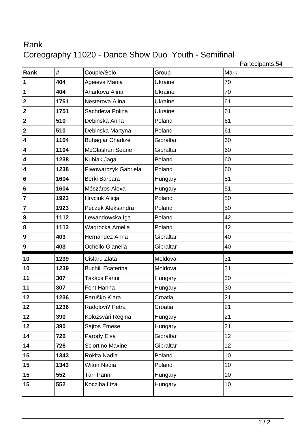## Rank Coreography 11020 - Dance Show Duo Youth - Semifinal

Partecipants:54

| Rank                    | #    | Couple/Solo              | Group     | Mark |
|-------------------------|------|--------------------------|-----------|------|
| $\vert$ 1               | 404  | Ageieva Mariia           | Ukraine   | 70   |
| $\vert$ 1               | 404  | Aharkova Alina           | Ukraine   | 70   |
| $\overline{\mathbf{2}}$ | 1751 | Nesterova Alina          | Ukraine   | 61   |
| $\overline{\mathbf{2}}$ | 1751 | Sachdeva Polina          | Ukraine   | 61   |
| $\overline{\mathbf{2}}$ | 510  | Debinska Anna            | Poland    | 61   |
| $\overline{\mathbf{2}}$ | 510  | Debinska Martyna         | Poland    | 61   |
| $\overline{\mathbf{4}}$ | 1104 | <b>Buhagiar Charlize</b> | Gibraltar | 60   |
| $\overline{\mathbf{4}}$ | 1104 | McGlashan Searie         | Gibraltar | 60   |
| $\overline{\mathbf{4}}$ | 1238 | Kubiak Jaga              | Poland    | 60   |
| $\overline{\mathbf{4}}$ | 1238 | Piwowarczyk Gabriela     | Poland    | 60   |
| $6\phantom{a}$          | 1604 | Berki Barbara            | Hungary   | 51   |
| $6\phantom{a}$          | 1604 | Mészáros Alexa           | Hungary   | 51   |
| $\overline{7}$          | 1923 | Hryciuk Alicja           | Poland    | 50   |
| $\overline{7}$          | 1923 | Peczek Aleksandra        | Poland    | 50   |
| $\bf{8}$                | 1112 | Lewandowska Iga          | Poland    | 42   |
| $\boldsymbol{8}$        | 1112 | Wagrocka Amelia          | Poland    | 42   |
| 9                       | 403  | Hernandez Anna           | Gibraltar | 40   |
| 9                       | 403  | Ochello Gianella         | Gibraltar | 40   |
| 10                      | 1239 | Cislaru Zlata            | Moldova   | 31   |
| 10                      | 1239 | <b>Buchili Ecaterina</b> | Moldova   | 31   |
| 11                      | 307  | Takács Fanni             | Hungary   | 30   |
| 11                      | 307  | Font Hanna               | Hungary   | 30   |
| 12                      | 1236 | Peruško Klara            | Croatia   | 21   |
| 12                      | 1236 | Radolovi? Petra          | Croatia   | 21   |
| 12                      | 390  | Kolozsvári Regina        | Hungary   | 21   |
| 12                      | 390  | Sajtos Emese             | Hungary   | 21   |
| 14                      | 726  | Parody Elsa              | Gibraltar | 12   |
| 14                      | 726  | Sciortino Maxine         | Gibraltar | 12   |
| 15                      | 1343 | Rokita Nadia             | Poland    | 10   |
| 15                      | 1343 | <b>Witon Nadia</b>       | Poland    | 10   |
| 15                      | 552  | Tarr Panni               | Hungary   | 10   |
| 15                      | 552  | Kocziha Liza             | Hungary   | 10   |